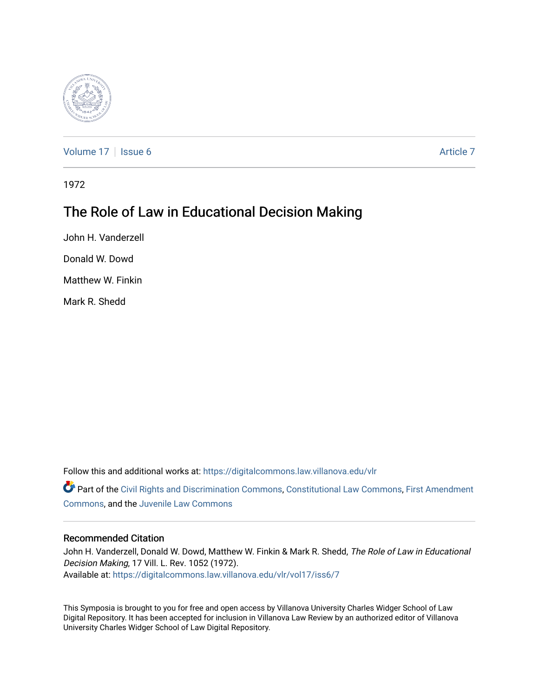

[Volume 17](https://digitalcommons.law.villanova.edu/vlr/vol17) | [Issue 6](https://digitalcommons.law.villanova.edu/vlr/vol17/iss6) Article 7

1972

# The Role of Law in Educational Decision Making

John H. Vanderzell

Donald W. Dowd

Matthew W. Finkin

Mark R. Shedd

Follow this and additional works at: [https://digitalcommons.law.villanova.edu/vlr](https://digitalcommons.law.villanova.edu/vlr?utm_source=digitalcommons.law.villanova.edu%2Fvlr%2Fvol17%2Fiss6%2F7&utm_medium=PDF&utm_campaign=PDFCoverPages)

Part of the [Civil Rights and Discrimination Commons,](http://network.bepress.com/hgg/discipline/585?utm_source=digitalcommons.law.villanova.edu%2Fvlr%2Fvol17%2Fiss6%2F7&utm_medium=PDF&utm_campaign=PDFCoverPages) [Constitutional Law Commons,](http://network.bepress.com/hgg/discipline/589?utm_source=digitalcommons.law.villanova.edu%2Fvlr%2Fvol17%2Fiss6%2F7&utm_medium=PDF&utm_campaign=PDFCoverPages) [First Amendment](http://network.bepress.com/hgg/discipline/1115?utm_source=digitalcommons.law.villanova.edu%2Fvlr%2Fvol17%2Fiss6%2F7&utm_medium=PDF&utm_campaign=PDFCoverPages) [Commons](http://network.bepress.com/hgg/discipline/1115?utm_source=digitalcommons.law.villanova.edu%2Fvlr%2Fvol17%2Fiss6%2F7&utm_medium=PDF&utm_campaign=PDFCoverPages), and the [Juvenile Law Commons](http://network.bepress.com/hgg/discipline/851?utm_source=digitalcommons.law.villanova.edu%2Fvlr%2Fvol17%2Fiss6%2F7&utm_medium=PDF&utm_campaign=PDFCoverPages)

#### Recommended Citation

John H. Vanderzell, Donald W. Dowd, Matthew W. Finkin & Mark R. Shedd, The Role of Law in Educational Decision Making, 17 Vill. L. Rev. 1052 (1972). Available at: [https://digitalcommons.law.villanova.edu/vlr/vol17/iss6/7](https://digitalcommons.law.villanova.edu/vlr/vol17/iss6/7?utm_source=digitalcommons.law.villanova.edu%2Fvlr%2Fvol17%2Fiss6%2F7&utm_medium=PDF&utm_campaign=PDFCoverPages) 

This Symposia is brought to you for free and open access by Villanova University Charles Widger School of Law Digital Repository. It has been accepted for inclusion in Villanova Law Review by an authorized editor of Villanova University Charles Widger School of Law Digital Repository.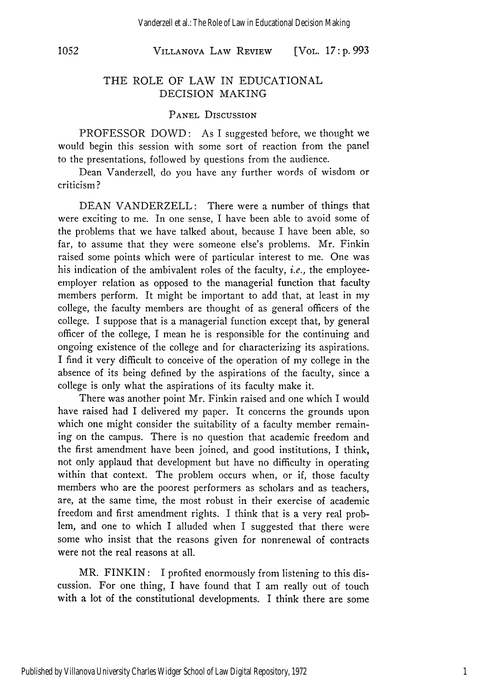#### **VILLANOVA** LAW REVIEW *1052* [VOL. *17* **: p.** *993*

#### THE ROLE OF LAW IN EDUCATIONAL DECISION MAKING

#### **PANEL** DISCUSSION

PROFESSOR DOWD: As I suggested before, we thought we would begin this session with some sort of reaction from the panel to the presentations, followed by questions from the audience.

Dean Vanderzell, do you have any further words of wisdom or criticism?

DEAN VANDERZELL: There were a number of things that were exciting to me. In one sense, I have been able to avoid some of the problems that we have talked about, because I have been able, so far, to assume that they were someone else's problems. Mr. Finkin raised some points which were of particular interest to me. One was his indication of the ambivalent roles of the faculty, *i.e.,* the employeeemployer relation as opposed to the managerial function that faculty members perform. It might be important to add that, at least in my college, the faculty members are thought of as general officers of the college. I suppose that is a managerial function except that, by general officer of the college, I mean he is responsible for the continuing and ongoing existence of the college and for characterizing its aspirations. I find it very difficult to conceive of the operation of my college in the absence of its being defined by the aspirations of the faculty, since a college is only what the aspirations of its faculty make it.

There was another point Mr. Finkin raised and one which I would have raised had I delivered my paper. It concerns the grounds upon which one might consider the suitability of a faculty member remaining on the campus. There is no question that academic freedom and the first amendment have been joined, and good institutions, I think, not only applaud that development but have no difficulty in operating within that context. The problem occurs when, or if, those faculty members who are the poorest performers as scholars and as teachers, are, at the same time, the most robust in their exercise of academic freedom and first amendment rights. I think that is a very real problem, and one to which I alluded when I suggested that there were some who insist that the reasons given for nonrenewal of contracts were not the real reasons at all.

MR. FINKIN: I profited enormously from listening to this discussion. For one thing, I have found that I am really out of touch with a lot of the constitutional developments. I think there are some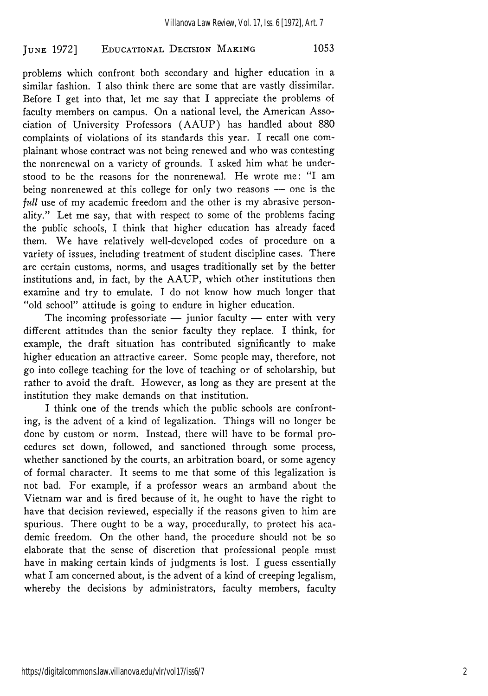problems which confront both secondary and higher education in a similar fashion. I also think there are some that are vastly dissimilar. Before I get into that, let me say that I appreciate the problems of faculty members on campus. On a national level, the American Association of University Professors (AAUP) has handled about 880 complaints of violations of its standards this year. I recall one complainant whose contract was not being renewed and who was contesting the nonrenewal on a variety of grounds. I asked him what he understood to be the reasons for the nonrenewal. He wrote me: "I am being nonrenewed at this college for only two reasons - one is the *full* use of my academic freedom and the other is my abrasive personality." Let me say, that with respect to some of the problems facing the public schools, I think that higher education has already faced them. We have relatively well-developed codes of procedure on a variety of issues, including treatment of student discipline cases. There are certain customs, norms, and usages traditionally set by the better institutions and, in fact, by the AAUP, which other institutions then examine and try to emulate. I do not know how much longer that "old school" attitude is going to endure in higher education.

The incoming professoriate  $-$  junior faculty  $-$  enter with very different attitudes than the senior faculty they replace. I think, for example, the draft situation has contributed significantly to make higher education an attractive career. Some people may, therefore, not go into college teaching for the love of teaching or of scholarship, but rather to avoid the draft. However, as long as they are present at the institution they make demands on that institution.

I think one of the trends which the public schools are confronting, is the advent of a kind of legalization. Things will no longer be done by custom or norm. Instead, there will have to be formal procedures set down, followed, and sanctioned through some process, whether sanctioned by the courts, an arbitration board, or some agency of formal character. It seems to me that some of this legalization is not bad. For example, if a professor wears an armband about the Vietnam war and is fired because of it, he ought to have the right to have that decision reviewed, especially if the reasons given to him are spurious. There ought to be a way, procedurally, to protect his academic freedom. On the other hand, the procedure should not be so elaborate that the sense of discretion that professional people must have in making certain kinds of judgments is lost. I guess essentially what I am concerned about, is the advent of a kind of creeping legalism, whereby the decisions by administrators, faculty members, faculty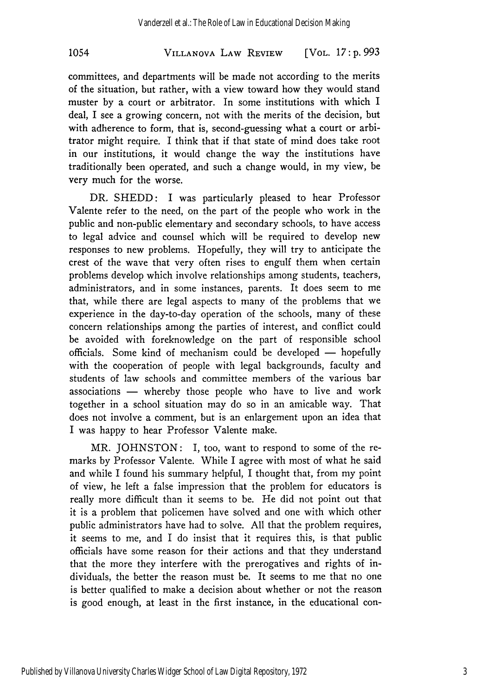## VILLANOVA LAW REVIEW 1054 [VOL. *17* **: p. 993**

committees, and departments will be made not according to the merits of the situation, but rather, with a view toward how they would stand muster by a court or arbitrator. In some institutions with which I deal, I see a growing concern, not with the merits of the decision, but with adherence to form, that is, second-guessing what a court or arbitrator might require. I think that if that state of mind does take root in our institutions, it would change the way the institutions have traditionally been operated, and such a change would, in my view, be very much for the worse.

DR. **SHEDD:** I was particularly pleased to hear Professor Valente refer to the need, on the part of the people who work in the public and non-public elementary and secondary schools, to have access to legal advice and counsel which will be required to develop new responses to new problems. Hopefully, they will try to anticipate the crest of the wave that very often rises to engulf them when certain problems develop which involve relationships among students, teachers, administrators, and in some instances, parents. It does seem to me that, while there are legal aspects to many of the problems that we experience in the day-to-day operation of the schools, many of these concern relationships among the parties of interest, and conflict could be avoided with foreknowledge on the part of responsible school officials. Some kind of mechanism could be developed - hopefully with the cooperation of people with legal backgrounds, faculty and students of law schools and committee members of the various bar associations  $-$  whereby those people who have to live and work together in a school situation may do so in an amicable way. That does not involve a comment, but is an enlargement upon an idea that I was happy to hear Professor Valente make.

MR. JOHNSTON: I, too, want to respond to some of the remarks by Professor Valente. While I agree with most of what he said and while I found his summary helpful, I thought that, from my point of view, he left a false impression that the problem for educators is really more difficult than it seems to be. He did not point out that it is a problem that policemen have solved and one with which other public administrators have had to solve. All that the problem requires, it seems to me, and I do insist that it requires this, is that public officials have some reason for their actions and that they understand that the more they interfere with the prerogatives and rights of individuals, the better the reason must be. It seems to me that no one is better qualified to make a decision about whether or not the reason is good enough, at least in the first instance, in the educational con-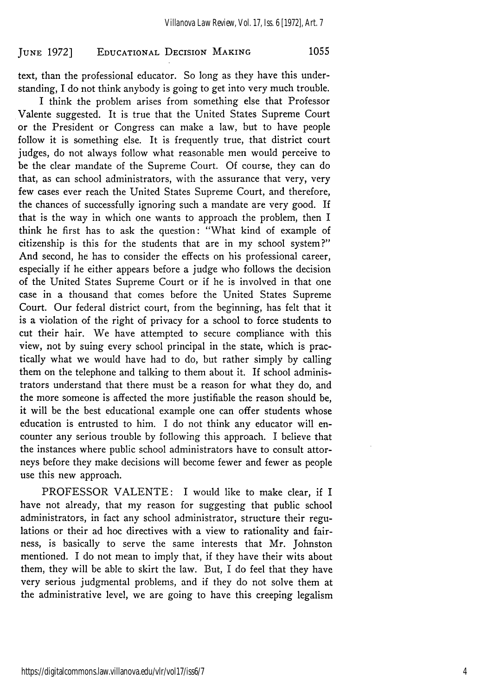text, than the professional educator. So long as they have this understanding, I do not think anybody is going to get into very much trouble.

I think the problem arises from something else that Professor Valente suggested. It is true that the United States Supreme Court or the President or Congress can make a law, but to have people follow it is something else. It is frequently true, that district court judges, do not always follow what reasonable men would perceive to be the clear mandate of the Supreme Court. Of course, they can do that, as can school administrators, with the assurance that very, very few cases ever reach the United States Supreme Court, and therefore, the chances of successfully ignoring such a mandate are very good. If that is the way in which one wants to approach the problem, then I think he first has to ask the question: "What kind of example of citizenship is this for the students that are in my school system?" And second, he has to consider the effects on his professional career, especially if he either appears before a judge who follows the decision of the United States Supreme Court or if he is involved in that one case in a thousand that comes before the United States Supreme Court. Our federal district court, from the beginning, has felt that it is a violation of the right of privacy for a school to force students to cut their hair. We have attempted to secure compliance with this view, not by suing every school principal in the state, which is practically what we would have had to do, but rather simply by calling them on the telephone and talking to them about it. If school administrators understand that there must be a reason for what they do, and the more someone is affected the more justifiable the reason should be, it will be the best educational example one can offer students whose education is entrusted to him. I do not think any educator will encounter any serious trouble by following this approach. I believe that the instances where public school administrators have to consult attorneys before they make decisions will become fewer and fewer as people use this new approach.

PROFESSOR VALENTE: I would like to make clear, if I have not already, that my reason for suggesting that public school administrators, in fact any school administrator, structure their regulations or their ad hoc directives with a view to rationality and fairness, is basically to serve the same interests that Mr. Johnston mentioned. I do not mean to imply that, if they have their wits about them, they will be able to skirt the law. But, I do feel that they have very serious judgmental problems, and if they do not solve them at the administrative level, we are going to have this creeping legalism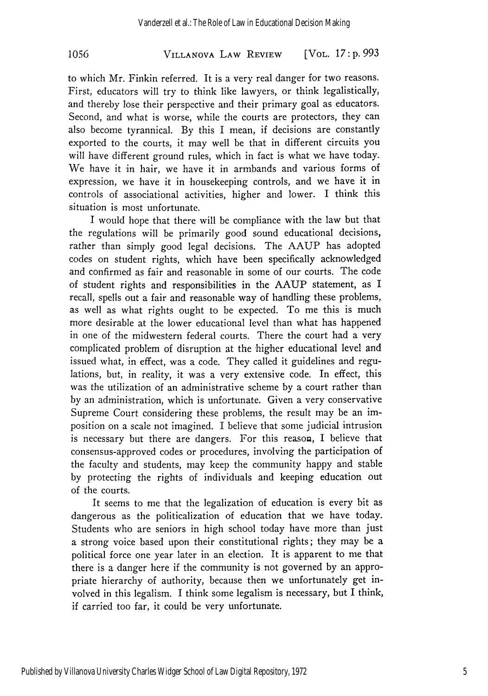# VILLANOVA LAW REVIEW **1056** [VOL. *17* **: p.** *993*

to which Mr. Finkin referred. It is a very real danger for two reasons. First, educators will try to think like lawyers, or think legalistically, and thereby lose their perspective and their primary goal as educators. Second, and what is worse, while the courts are protectors, they can also become tyrannical. **By** this I mean, if decisions are constantly exported to the courts, it may well be that in different circuits you will have different ground rules, which in fact is what we have today. We have it in hair, we have it in armbands and various forms of expression, we have it in housekeeping controls, and we have it in controls of associational activities, higher and lower. I think this situation is most unfortunate.

I would hope that there will be compliance with the law but that the regulations will be primarily good sound educational decisions, rather than simply good legal decisions. The AAUP has adopted codes on student rights, which have been specifically acknowledged and confirmed as fair and reasonable in some of our courts. The code of student rights and responsibilities in the AAUP statement, as I recall, spells out a fair and reasonable way of handling these problems, as well as what rights ought to be expected. To me this is much more desirable at the lower educational level than what has happened in one of the midwestern federal courts. There the court had a very complicated problem of disruption at the higher educational level and issued what, in effect, was a code. They called it guidelines and regulations, but, in reality, it was a very extensive code. In effect, this was the utilization of an administrative scheme **by** a court rather than **by** an administration, which is unfortunate. Given a very conservative Supreme Court considering these problems, the result may be an imposition on a scale not imagined. I believe that some judicial intrusion is necessary but there are dangers. For this reason, I believe that consensus-approved codes or procedures, involving the participation of the faculty and students, may keep the community happy and stable **by** protecting the rights of individuals and keeping education out of the courts.

It seems to me that the legalization of education is every bit as dangerous as the politicalization of education that we have today. Students who are seniors in high school today have more than just a strong voice based upon their constitutional rights; they may **be** a political force one year later in an election. It is apparent to me that there is a danger here if the community is not governed by an appropriate hierarchy of authority, because then we unfortunately get involved in this legalism. I think some legalism is necessary, but I think, if carried too far, it could be very unfortunate.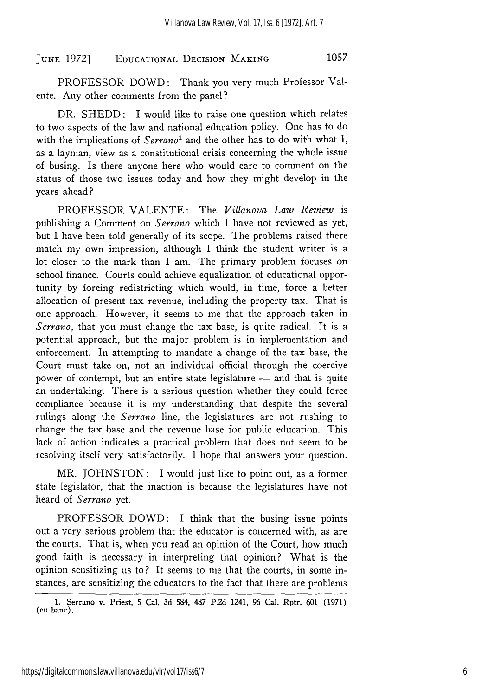PROFESSOR DOWD: Thank you very much Professor Valente. Any other comments from the panel?

DR. **SHEDD:** I would like to raise one question which relates to two aspects of the law and national education policy. One has to do with the implications of *Serrano*<sup>1</sup> and the other has to do with what I, as a layman, view as a constitutional crisis concerning the whole issue of busing. Is there anyone here who would care to comment on the status of those two issues today and how they might develop in the years ahead?

PROFESSOR VALENTE: The *Villanova Law Review* is publishing a Comment on *Serrano* which I have not reviewed as yet, but I have been told generally of its scope. The problems raised there match my own impression, although I think the student writer is a lot closer to the mark than I am. The primary problem focuses on school finance. Courts could achieve equalization of educational opportunity by forcing redistricting which would, in time, force a better allocation of present tax revenue, including the property tax. That is one approach. However, it seems to me that the approach taken in *Serrano,* that you must change the tax base, is quite radical. It is a potential approach, but the major problem is in implementation and enforcement. In attempting to mandate a change of the tax base, the Court must take on, not an individual official through the coercive power of contempt, but an entire state legislature - and that is quite an undertaking. There is a serious question whether they could force compliance because it is my understanding that despite the several rulings along the *Serrano* line, the legislatures are not rushing to change the tax base and the revenue base for public education. This lack of action indicates a practical problem that does not seem to be resolving itself very satisfactorily. I hope that answers your question.

MR. JOHNSTON: I would just like to point out, as a former state legislator, that the inaction is because the legislatures have not heard of *Serrano* yet.

PROFESSOR DOWD: I think that the busing issue points out a very serious problem that the educator is concerned with, as are the courts. That is, when you read an opinion of the Court, how much good faith is necessary in interpreting that opinion? What is the opinion sensitizing us to? It seems to me that the courts, in some instances, are sensitizing the educators to the fact that there are problems

**<sup>1.</sup>** Serrano v. Priest, **5** Cal. **3d** 584, **487 P.2d** 1241, **96** Cal. Rptr. **601 (1971)** (en banc).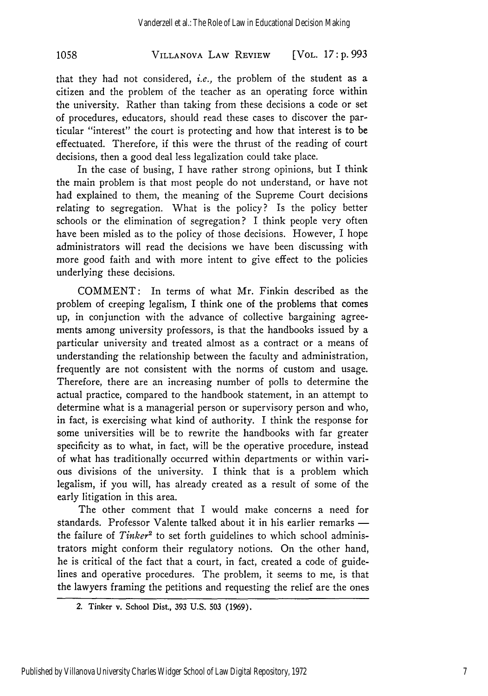#### VILLANOVA LAW REVIEW **1058** [VOL. *17* **: p.** *993*

that they had not considered, *i.e.,* the problem of the student as a citizen and the problem of the teacher as an operating force within the university. Rather than taking from these decisions a code or set of procedures, educators, should read these cases to discover the particular "interest" the court is protecting and how that interest is to be effectuated. Therefore, if this were the thrust of the reading of court decisions, then a good deal less legalization could take place.

In the case of busing, I have rather strong opinions, but I think the main problem is that most people do not understand, or have not had explained to them, the meaning of the Supreme Court decisions relating to segregation. What is the policy? Is the policy better schools or the elimination of segregation? I think people very often have been misled as to the policy of those decisions. However, I hope administrators will read the decisions we have been discussing with more good faith and with more intent to give effect to the policies underlying these decisions.

COMMENT: In terms of what Mr. Finkin described as the problem of creeping legalism, I think one of the problems that comes up, in conjunction with the advance of collective bargaining agreements among university professors, is that the handbooks issued by a particular university and treated almost as a contract or a means of understanding the relationship between the faculty and administration, frequently are not consistent with the norms of custom and usage. Therefore, there are an increasing number of polls to determine the actual practice, compared to the handbook statement, in an attempt to determine what is a managerial person or supervisory person and who, in fact, is exercising what kind of authority. I think the response for some universities will be to rewrite the handbooks with far greater specificity as to what, in fact, will be the operative procedure, instead of what has traditionally occurred within departments or within various divisions of the university. I think that is a problem which legalism, if you will, has already created as a result of some of the early litigation in this area.

The other comment that I would make concerns a need for standards. Professor Valente talked about it in his earlier remarks the failure of *Tinker2* to set forth guidelines to which school administrators might conform their regulatory notions. On the other hand, he is critical of the fact that a court, in fact, created a code of guidelines and operative procedures. The problem, it seems to me, is that the lawyers framing the petitions and requesting the relief are the ones

<sup>2.</sup> Tinker v. School Dist., **393 U.S. 503 (1969).**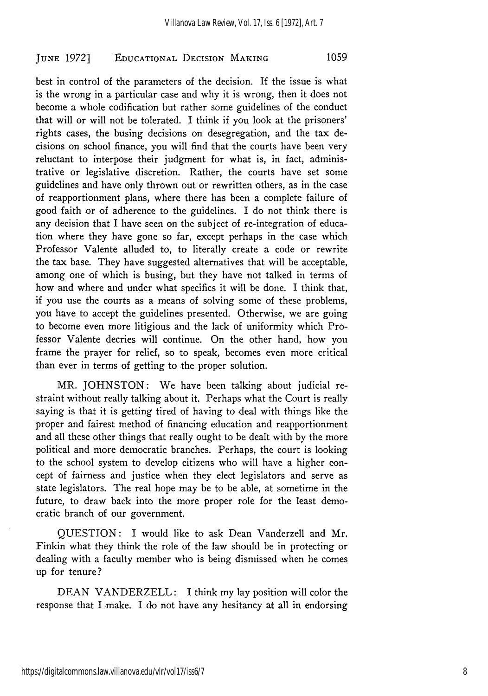best in control of the parameters of the decision. If the issue is what is the wrong in a particular case and why it is wrong, then it does not become a whole codification but rather some guidelines of the conduct that will or will not be tolerated. I think if you look at the prisoners' rights cases, the busing decisions on desegregation, and the tax decisions on school finance, you will find that the courts have been very reluctant to interpose their judgment for what is, in fact, administrative or legislative discretion. Rather, the courts have set some guidelines and have only thrown out or rewritten others, as in the case of reapportionment plans, where there has been a complete failure of good faith or of adherence to the guidelines. I do not think there is any decision that I have seen on the subject of re-integration of education where they have gone so far, except perhaps in the case which Professor Valente alluded to, to literally create a code or rewrite the tax base. They have suggested alternatives that will be acceptable, among one of which is busing, but they have not talked in terms of how and where and under what specifics it will be done. I think that, if you use the courts as a means of solving some of these problems, you have to accept the guidelines presented. Otherwise, we are going to become even more litigious and the lack of uniformity which Professor Valente decries will continue. On the other hand, how you frame the prayer for relief, so to speak, becomes even more critical than ever in terms of getting to the proper solution.

MR. JOHNSTON: We have been talking about judicial restraint without really talking about it. Perhaps what the Court is really saying is that it is getting tired of having to deal with things like the proper and fairest method of financing education and reapportionment and all these other things that really ought to be dealt with by the more political and more democratic branches. Perhaps, the court is looking to the school system to develop citizens who will have a higher concept of fairness and justice when they elect legislators and serve as state legislators. The real hope may be to be able, at sometime in the future, to draw back into the more proper role for the least democratic branch of our government.

QUESTION: I would like to ask Dean Vanderzell and Mr. Finkin what they think the role of the law should be in protecting or dealing with a faculty member who is being dismissed when he comes up for tenure?

DEAN VANDERZELL: I think my lay position will color the response that I make. I do not have any hesitancy at all in endorsing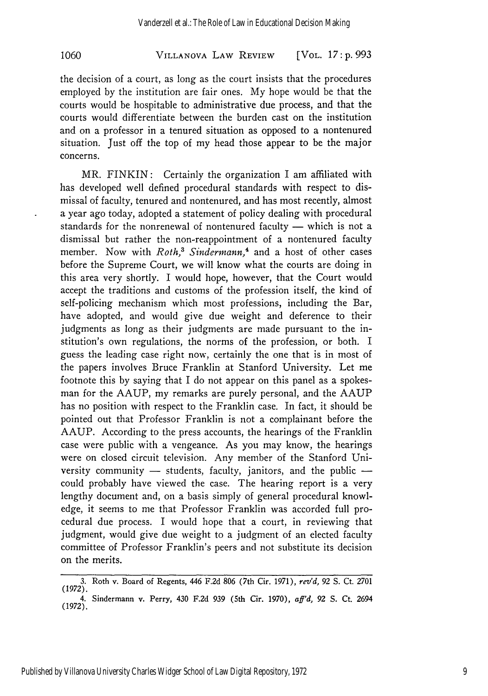## VILLANOVA LAW REVIEW **1060** [VOL. *17* **: p.** *993*

the decision of a court, as long as the court insists that the procedures employed by the institution are fair ones. My hope would be that the courts would be hospitable to administrative due process, and that the courts would differentiate between the burden cast on the institution and on a professor in a tenured situation as opposed to a nontenured situation. Just off the top of my head those appear to be the major concerns.

MR. FINKIN: Certainly the organization I am affiliated with has developed well defined procedural standards with respect to dismissal of faculty, tenured and nontenured, and has most recently, almost a year ago today, adopted a statement of policy dealing with procedural standards for the nonrenewal of nontenured faculty  $-$  which is not a dismissal but rather the non-reappointment of a nontenured faculty member. Now with *Roth*,<sup>3</sup> Sindermann,<sup>4</sup> and a host of other cases before the Supreme Court, we will know what the courts are doing in this area very shortly. I would hope, however, that the Court would accept the traditions and customs of the profession itself, the kind of self-policing mechanism which most professions, including the Bar, have adopted, and would give due weight and deference to their judgments as long as their judgments are made pursuant to the institution's own regulations, the norms of the profession, or both. I guess the leading case right now, certainly the one that is in most of the papers involves Bruce Franklin at Stanford University. Let me footnote this by saying that I do not appear on this panel as a spokesman for the AAUP, my remarks are purely personal, and the AAUP has no position with respect to the Franklin case. In fact, it should be pointed out that Professor Franklin is not a complainant before the AAUP. According to the press accounts, the hearings of the Franklin case were public with a vengeance. As you may know, the hearings were on closed circuit television. Any member of the Stanford University community  $-$  students, faculty, janitors, and the public  $$ could probably have viewed the case. The hearing report is a very lengthy document and, on a basis simply of general procedural knowledge, it seems to me that Professor Franklin was accorded full procedural due process. I would hope that a court, in reviewing that judgment, would give due weight to a judgment of an elected faculty committee of Professor Franklin's peers and not substitute its decision on the merits.

**<sup>3.</sup>** Roth v. Board of Regents, 446 **F.2d 806** (7th Cir. **1971),** *rev'd, 92* S. Ct. 2701 **(1972).** 4. Sindermann v. Perry, 430 **F.2d 939** (5th Cir. **1970),** *aff'd, 92* **S.** Ct. 2694 **(1972).**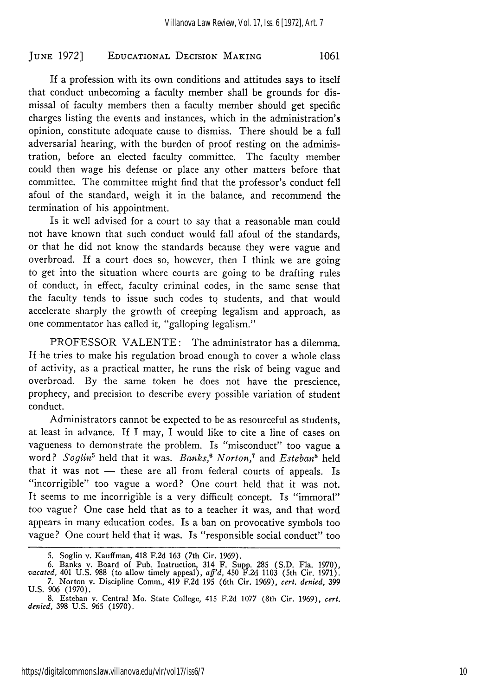If a profession with its own conditions and attitudes says to itself that conduct unbecoming a faculty member shall be grounds for dismissal of faculty members then a faculty member should get specific charges listing the events and instances, which in the administration's opinion, constitute adequate cause to dismiss. There should be a full adversarial hearing, with the burden of proof resting on the administration, before an elected faculty committee. The faculty member could then wage his defense or place any other matters before that committee. The committee might find that the professor's conduct fell afoul of the standard, weigh it in the balance, and recommend the termination of his appointment.

Is it well advised for a court to say that a reasonable man could not have known that such conduct would fall afoul of the standards, or that he did not know the standards because they were vague and overbroad. If a court does so, however, then I think we are going to get into the situation where courts are going to be drafting rules of conduct, in effect, faculty criminal codes, in the same sense that the faculty tends to issue such codes to students, and that would accelerate sharply the growth of creeping legalism and approach, as one commentator has called it, "galloping legalism."

PROFESSOR VALENTE: The administrator has a dilemma. If he tries to make his regulation broad enough to cover a whole class of activity, as a practical matter, he runs the risk of being vague and overbroad. By the same token he does not have the prescience, prophecy, and precision to describe every possible variation of student conduct.

Administrators cannot be expected to be as resourceful as students, at least in advance. If I may, I would like to cite a line of cases on vagueness to demonstrate the problem. Is "misconduct" too vague a word? *Soglin'* held that it was. *Banks,6 Norton,7* and *Esteban"* held that it was not  $-$  these are all from federal courts of appeals. Is "incorrigible" too vague a word? One court held that it was not. It seems to me incorrigible is a very difficult concept. Is "immoral" too vague? One case held that as to a teacher it was, and that word appears in many education codes. Is a ban on provocative symbols too vague? One court held that it was. Is "responsible social conduct" too

<sup>5.</sup> Soglin v. Kauffman, 418 F.2d 163 (7th Cir. 1969).

<sup>6.</sup> Banks v. Board of Pub. Instruction, 314 F. Supp. 285 (S.D. Fla. 1970), *vacated,* 401 U.S. 988 (to allow timely appeal), *aff'd*, 450 F.2d 1103 (5th Cir. 1971). *7.* Norton v. Discipline Comm., 419 F.2d 195 (6th Cir. 1969), *cert. denied,* 399

U.S. 906 (1970).

<sup>8.</sup> Esteban v. Central Mo. State College, 415 F.2d 1077 (8th Cir. 1969), *cert. denied,* 398 U.S. 965 (1970).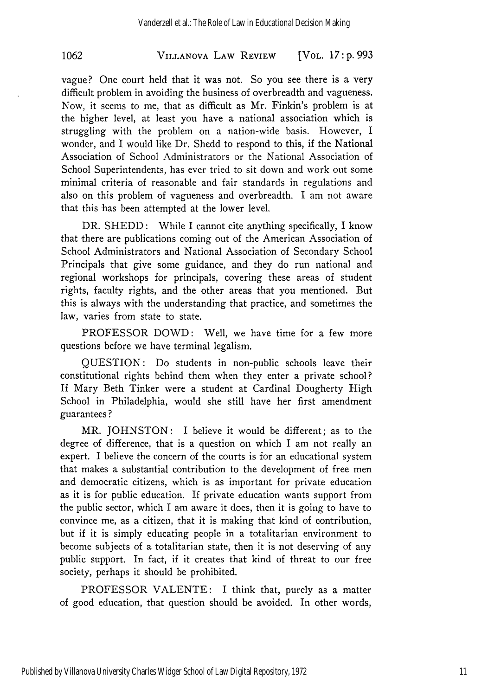# **VILLANOVA** LAW REVIEW **1062** [VOL. **17 : p. 993**

vague? One court held that it was not. So you see there is a very difficult problem in avoiding the business of overbreadth and vagueness. Now, it seems to me, that as difficult as Mr. Finkin's problem is at the higher level, at least you have a national association which is struggling with the problem on a nation-wide basis. However, I wonder, and I would like Dr. Shedd to respond to this, if the National Association of School Administrators or the National Association of School Superintendents, has ever tried to sit down and work out some minimal criteria of reasonable and fair standards in regulations and also on this problem of vagueness and overbreadth. I am not aware that this has been attempted at the lower level.

DR. SHEDD: While I cannot cite anything specifically, I know that there are publications coming out of the American Association of School Administrators and National Association of Secondary School Principals that give some guidance, and they do run national and regional workshops for principals, covering these areas of student rights, faculty rights, and the other areas that you mentioned. But this is always with the understanding that practice, and sometimes the law, varies from state to state.

PROFESSOR DOWD: Well, we have time for a few more questions before we have terminal legalism.

QUESTION: Do students in non-public schools leave their constitutional rights behind them when they enter a private school? If Mary Beth Tinker were a student at Cardinal Dougherty High School in Philadelphia, would she still have her first amendment guarantees **?**

MR. JOHNSTON: I believe it would be different; as to the degree of difference, that is a question on which I am not really an expert. I believe the concern of the courts is for an educational system that makes a substantial contribution to the development of free men and democratic citizens, which is as important for private education as it is for public education. If private education wants support from the public sector, which I am aware it does, then it is going to have to convince me, as a citizen, that it is making that kind of contribution, but if it is simply educating people in a totalitarian environment to become subjects of a totalitarian state, then it is not deserving of any public support. In fact, if it creates that kind of threat to our free society, perhaps it should be prohibited.

PROFESSOR VALENTE: I think that, purely as a matter of good education, that question should be avoided. In other words,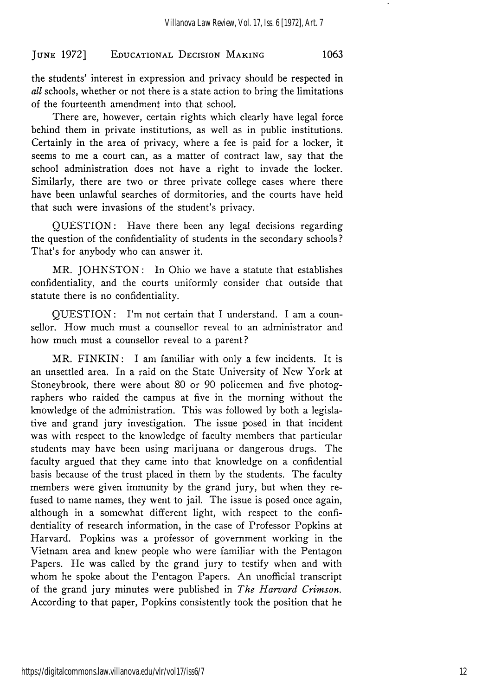the students' interest in expression and privacy should be respected in *all* schools, whether or not there is a state action to bring the limitations of the fourteenth amendment into that school.

There are, however, certain rights which clearly have legal force behind them in private institutions, as well as in public institutions. Certainly in the area of privacy, where a fee is paid for a locker, it seems to me a court can, as a matter of contract law, say that the school administration does not have a right to invade the locker. Similarly, there are two or three private college cases where there have been unlawful searches of dormitories, and the courts have held that such were invasions of the student's privacy.

QUESTION: Have there been any legal decisions regarding the question of the confidentiality of students in the secondary schools? That's for anybody who can answer it.

MR. JOHNSTON: In Ohio we have a statute that establishes confidentiality, and the courts uniformly consider that outside that statute there is no confidentiality.

QUESTION: I'm not certain that I understand. I am a counsellor. How much must a counsellor reveal to an administrator and how much must a counsellor reveal to a parent?

MR. FINKIN: I am familiar with only a few incidents. It is an unsettled area. In a raid on the State University of New York at Stoneybrook, there were about 80 or 90 policemen and five photographers who raided the campus at five in the morning without the knowledge of the administration. This was followed **by** both a legislative and grand jury investigation. The issue posed in that incident was with respect to the knowledge of faculty members that particular students may have been using marijuana or dangerous drugs. The faculty argued that they came into that knowledge on a confidential basis because of the trust placed in them **by** the students. The faculty members were given immunity **by** the grand jury, but when they refused to name names, they went to jail. The issue is posed once again, although in a somewhat different light, with respect to the confidentiality of research information, in the case of Professor Popkins at Harvard. Popkins was a professor of government working in the Vietnam area and knew people who were familiar with the Pentagon Papers. He was called **by** the grand jury to testify when and with whom he spoke about the Pentagon Papers. An unofficial transcript of the grand jury minutes were published in *The Harvard Crimson.* According to that paper, Popkins consistently took the position that he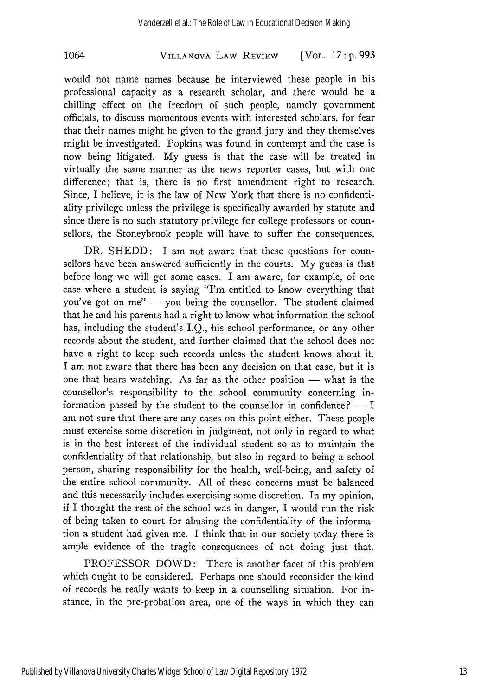# **VILLANOVA** LAW REVIEW **1064** [VOL. *17:* **p. 993**

would not name names because he interviewed these people in his professional capacity as a research scholar, and there would be a chilling effect on the freedom of such people, namely government officials, to discuss momentous events with interested scholars, for fear that their names might be given to the grand jury and they themselves might be investigated. Popkins was found in contempt and the case is now being litigated. **My** guess is that the case will be treated in virtually the same manner as the news reporter cases, but with one difference; that is, there is no first amendment right to research. Since, I believe, it is the law of New York that there is no confidentiality privilege unless the privilege is specifically awarded **by** statute and since there is no such statutory privilege for college professors or counsellors, the Stoneybrook people will have to suffer the consequences.

DR. SHEDD: I am not aware that these questions for counsellors have been answered sufficiently in the courts. **My** guess is that before long we will get some cases. I am aware, for example, of one case where a student is saying "I'm entitled to know everything that you've got on  $me''$  — you being the counsellor. The student claimed that he and his parents had a right to know what information the school has, including the student's I.Q., his school performance, or any other records about the student, and further claimed that the school does not have a right to keep such records unless the student knows about it. I am not aware that there has been any decision on that case, but it is one that bears watching. As far as the other position  $-$  what is the counsellor's responsibility to the school community concerning information passed by the student to the counsellor in confidence?  $- I$ am not sure that there are any cases on this point either. These people must exercise some discretion in judgment, not only in regard to what is in the best interest of the individual student so as to maintain the confidentiality of that relationship, but also in regard to being a school person, sharing responsibility for the health, well-being, and safety of the entire school community. All of these concerns must be balanced and this necessarily includes exercising some discretion. In my opinion, if I thought the rest of the school was in danger, I would run the risk of being taken to court for abusing the confidentiality of the information a student had given me. I think that in' our society today there is ample evidence of the tragic consequences of not doing just that.

PROFESSOR DOWD: There is another facet of this problem which ought to be considered. Perhaps one should reconsider the kind of records he really wants to keep in a counselling situation. For instance, in the pre-probation area, one of the ways in which they can